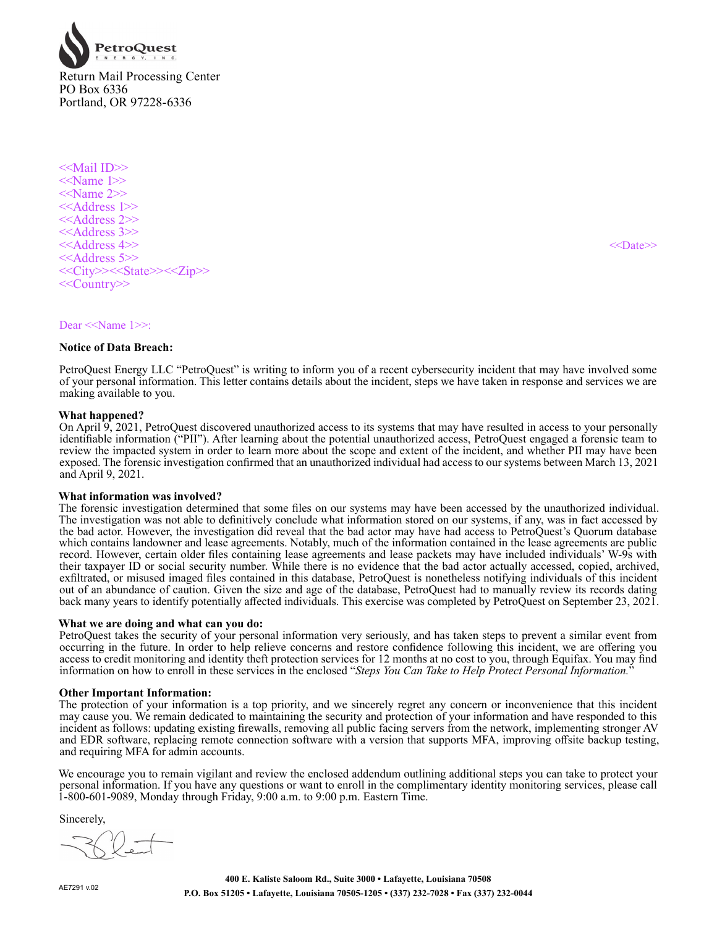

<<Mail ID>>  $<<$ Name 1>> <<Name 2>> <<Address 1>> <<Address 2>> <<Address 3>> <<Address 4>> <<Date>> <<Address 5>> <<City>><<State>><<Zip>> <<Country>>

Dear <<Name 1>>:

### **Notice of Data Breach:**

PetroQuest Energy LLC "PetroQuest" is writing to inform you of a recent cybersecurity incident that may have involved some of your personal information. This letter contains details about the incident, steps we have taken in response and services we are making available to you.

### **What happened?**

On April 9, 2021, PetroQuest discovered unauthorized access to its systems that may have resulted in access to your personally identifiable information ("PII"). After learning about the potential unauthorized access, PetroQuest engaged a forensic team to review the impacted system in order to learn more about the scope and extent of the incident, and whether PII may have been exposed. The forensic investigation confirmed that an unauthorized individual had access to our systems between March 13, 2021 and April 9, 2021.

#### **What information was involved?**

The forensic investigation determined that some files on our systems may have been accessed by the unauthorized individual. The investigation was not able to definitively conclude what information stored on our systems, if any, was in fact accessed by the bad actor. However, the investigation did reveal that the bad actor may have had access to PetroQuest's Quorum database which contains landowner and lease agreements. Notably, much of the information contained in the lease agreements are public record. However, certain older files containing lease agreements and lease packets may have included individuals' W-9s with their taxpayer ID or social security number. While there is no evidence that the bad actor actually accessed, copied, archived, exfiltrated, or misused imaged files contained in this database, PetroQuest is nonetheless notifying individuals of this incident out of an abundance of caution. Given the size and age of the database, PetroQuest had to manually review its records dating back many years to identify potentially affected individuals. This exercise was completed by PetroQuest on September 23, 2021.

#### **What we are doing and what can you do:**

PetroQuest takes the security of your personal information very seriously, and has taken steps to prevent a similar event from occurring in the future. In order to help relieve concerns and restore confidence following this incident, we are offering you access to credit monitoring and identity theft protection services for 12 months at no cost to you, through Equifax. You may find information on how to enroll in these services in the enclosed "*Steps You Can Take to Help Protect Personal Information.*"

### **Other Important Information:**

The protection of your information is a top priority, and we sincerely regret any concern or inconvenience that this incident may cause you. We remain dedicated to maintaining the security and protection of your information and have responded to this incident as follows: updating existing firewalls, removing all public facing servers from the network, implementing stronger AV and EDR software, replacing remote connection software with a version that supports MFA, improving offsite backup testing, and requiring MFA for admin accounts.

We encourage you to remain vigilant and review the enclosed addendum outlining additional steps you can take to protect your personal information. If you have any questions or want to enroll in the complimentary identity monitoring services, please call 1-800-601-9089, Monday through Friday, 9:00 a.m. to 9:00 p.m. Eastern Time.

Sincerely,

AE7291 v.02